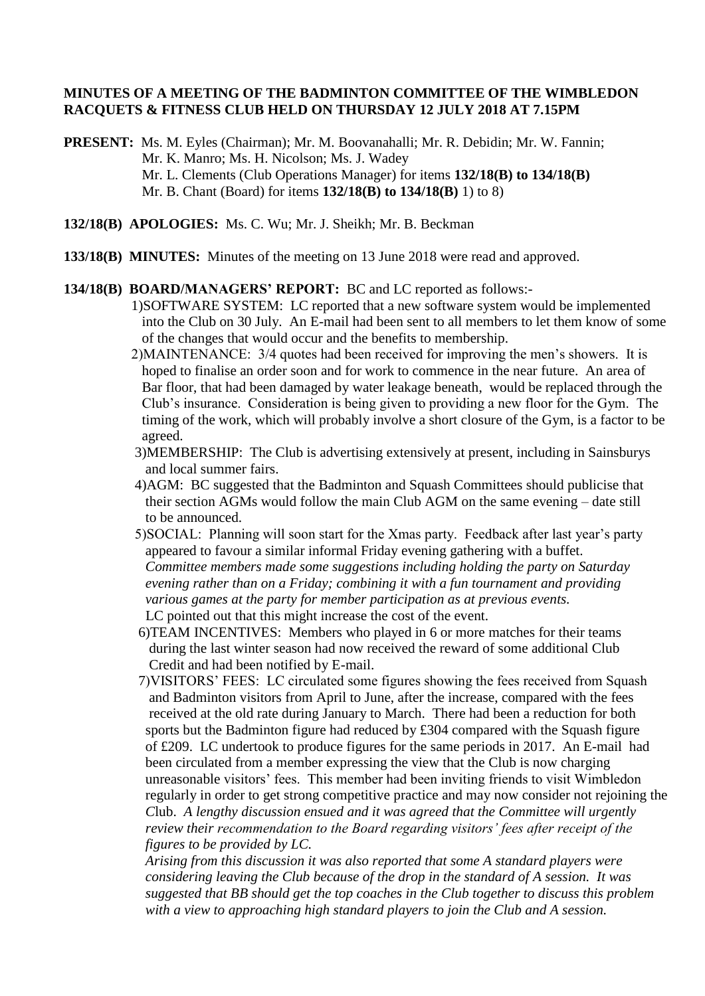#### **MINUTES OF A MEETING OF THE BADMINTON COMMITTEE OF THE WIMBLEDON RACQUETS & FITNESS CLUB HELD ON THURSDAY 12 JULY 2018 AT 7.15PM**

**PRESENT:** Ms. M. Eyles (Chairman); Mr. M. Boovanahalli; Mr. R. Debidin; Mr. W. Fannin; Mr. K. Manro; Ms. H. Nicolson; Ms. J. Wadey Mr. L. Clements (Club Operations Manager) for items **132/18(B) to 134/18(B)** Mr. B. Chant (Board) for items **132/18(B) to 134/18(B)** 1) to 8)

- **132/18(B) APOLOGIES:** Ms. C. Wu; Mr. J. Sheikh; Mr. B. Beckman
- **133/18(B) MINUTES:** Minutes of the meeting on 13 June 2018 were read and approved.

#### **134/18(B) BOARD/MANAGERS' REPORT:** BC and LC reported as follows:-

- 1)SOFTWARE SYSTEM: LC reported that a new software system would be implemented into the Club on 30 July. An E-mail had been sent to all members to let them know of some of the changes that would occur and the benefits to membership.
- 2)MAINTENANCE: 3/4 quotes had been received for improving the men's showers. It is hoped to finalise an order soon and for work to commence in the near future. An area of Bar floor, that had been damaged by water leakage beneath, would be replaced through the Club's insurance. Consideration is being given to providing a new floor for the Gym. The timing of the work, which will probably involve a short closure of the Gym, is a factor to be agreed.
- 3)MEMBERSHIP: The Club is advertising extensively at present, including in Sainsburys and local summer fairs.
- 4)AGM: BC suggested that the Badminton and Squash Committees should publicise that their section AGMs would follow the main Club AGM on the same evening – date still to be announced.
- 5)SOCIAL: Planning will soon start for the Xmas party. Feedback after last year's party appeared to favour a similar informal Friday evening gathering with a buffet. *Committee members made some suggestions including holding the party on Saturday evening rather than on a Friday; combining it with a fun tournament and providing various games at the party for member participation as at previous events.* LC pointed out that this might increase the cost of the event.
- 6)TEAM INCENTIVES: Members who played in 6 or more matches for their teams during the last winter season had now received the reward of some additional Club Credit and had been notified by E-mail.
- 7)VISITORS' FEES: LC circulated some figures showing the fees received from Squash and Badminton visitors from April to June, after the increase, compared with the fees received at the old rate during January to March. There had been a reduction for both sports but the Badminton figure had reduced by £304 compared with the Squash figure of £209. LC undertook to produce figures for the same periods in 2017. An E-mail had been circulated from a member expressing the view that the Club is now charging unreasonable visitors' fees. This member had been inviting friends to visit Wimbledon regularly in order to get strong competitive practice and may now consider not rejoining the  *C*lub. *A lengthy discussion ensued and it was agreed that the Committee will urgently review their recommendation to the Board regarding visitors' fees after receipt of the figures to be provided by LC.*

 *Arising from this discussion it was also reported that some A standard players were considering leaving the Club because of the drop in the standard of A session. It was suggested that BB should get the top coaches in the Club together to discuss this problem with a view to approaching high standard players to join the Club and A session.*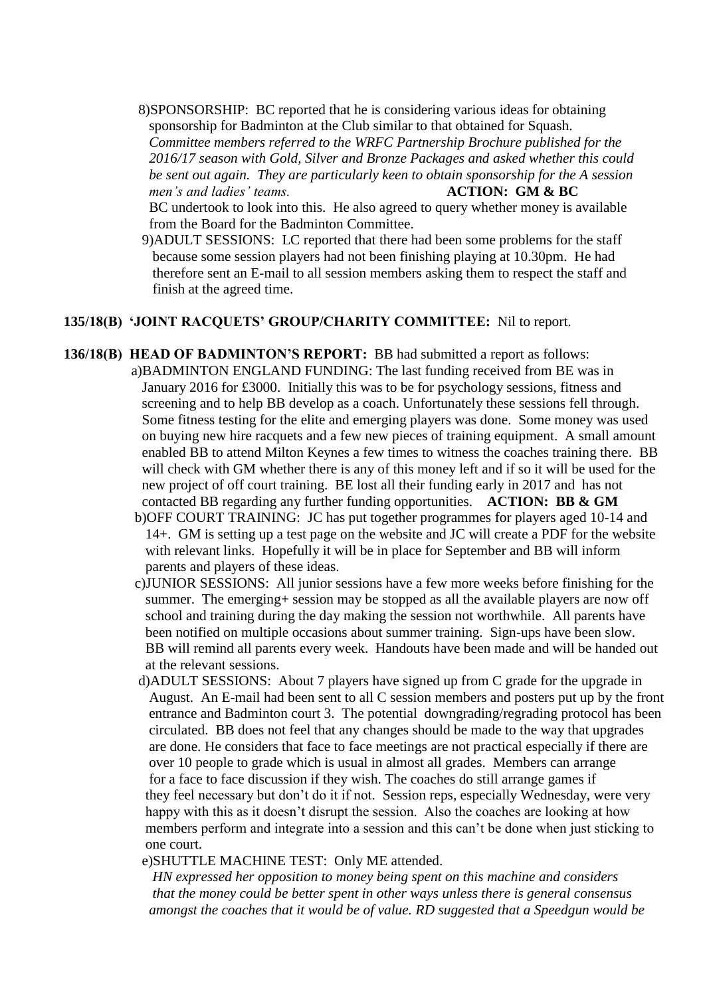8)SPONSORSHIP: BC reported that he is considering various ideas for obtaining sponsorship for Badminton at the Club similar to that obtained for Squash. *Committee members referred to the WRFC Partnership Brochure published for the 2016/17 season with Gold, Silver and Bronze Packages and asked whether this could be sent out again. They are particularly keen to obtain sponsorship for the A session men's and ladies' teams.* **ACTION: GM & BC** 

BC undertook to look into this. He also agreed to query whether money is available from the Board for the Badminton Committee.

 9)ADULT SESSIONS: LC reported that there had been some problems for the staff because some session players had not been finishing playing at 10.30pm. He had therefore sent an E-mail to all session members asking them to respect the staff and finish at the agreed time.

### **135/18(B) 'JOINT RACQUETS' GROUP/CHARITY COMMITTEE:** Nil to report.

- **136/18(B) HEAD OF BADMINTON'S REPORT:** BB had submitted a report as follows: a)BADMINTON ENGLAND FUNDING: The last funding received from BE was in January 2016 for £3000. Initially this was to be for psychology sessions, fitness and screening and to help BB develop as a coach. Unfortunately these sessions fell through. Some fitness testing for the elite and emerging players was done. Some money was used on buying new hire racquets and a few new pieces of training equipment. A small amount enabled BB to attend Milton Keynes a few times to witness the coaches training there. BB will check with GM whether there is any of this money left and if so it will be used for the new project of off court training. BE lost all their funding early in 2017 and has not contacted BB regarding any further funding opportunities. **ACTION: BB & GM**
	- b)OFF COURT TRAINING: JC has put together programmes for players aged 10-14 and 14+. GM is setting up a test page on the website and JC will create a PDF for the website with relevant links. Hopefully it will be in place for September and BB will inform parents and players of these ideas.
	- c)JUNIOR SESSIONS: All junior sessions have a few more weeks before finishing for the summer. The emerging+ session may be stopped as all the available players are now off school and training during the day making the session not worthwhile. All parents have been notified on multiple occasions about summer training. Sign-ups have been slow. BB will remind all parents every week. Handouts have been made and will be handed out at the relevant sessions.
	- d)ADULT SESSIONS: About 7 players have signed up from C grade for the upgrade in August. An E-mail had been sent to all C session members and posters put up by the front entrance and Badminton court 3. The potential downgrading/regrading protocol has been circulated. BB does not feel that any changes should be made to the way that upgrades are done. He considers that face to face meetings are not practical especially if there are over 10 people to grade which is usual in almost all grades. Members can arrange for a face to face discussion if they wish. The coaches do still arrange games if they feel necessary but don't do it if not. Session reps, especially Wednesday, were very happy with this as it doesn't disrupt the session. Also the coaches are looking at how members perform and integrate into a session and this can't be done when just sticking to one court.

e)SHUTTLE MACHINE TEST: Only ME attended.

 *HN expressed her opposition to money being spent on this machine and considers that the money could be better spent in other ways unless there is general consensus amongst the coaches that it would be of value. RD suggested that a Speedgun would be*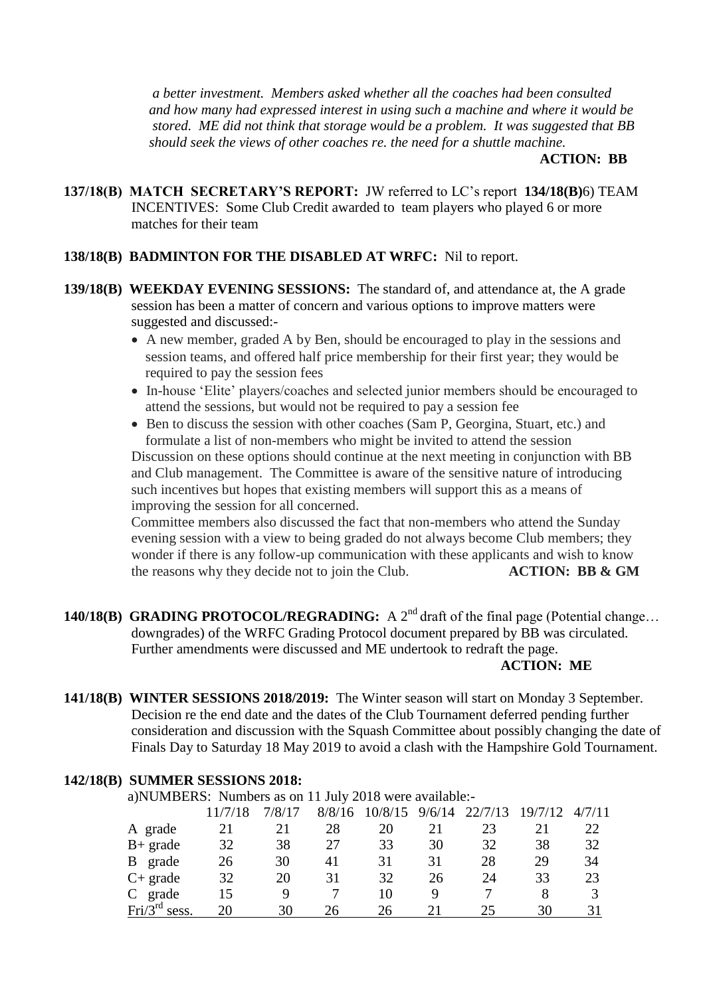*a better investment. Members asked whether all the coaches had been consulted and how many had expressed interest in using such a machine and where it would be stored. ME did not think that storage would be a problem. It was suggested that BB should seek the views of other coaches re. the need for a shuttle machine.*

**ACTION: BB**

**137/18(B) MATCH SECRETARY'S REPORT:** JW referred to LC's report **134/18(B)**6) TEAM INCENTIVES: Some Club Credit awarded to team players who played 6 or more matches for their team

### **138/18(B) BADMINTON FOR THE DISABLED AT WRFC:** Nil to report.

- **139/18(B) WEEKDAY EVENING SESSIONS:** The standard of, and attendance at, the A grade session has been a matter of concern and various options to improve matters were suggested and discussed:-
	- A new member, graded A by Ben, should be encouraged to play in the sessions and session teams, and offered half price membership for their first year; they would be required to pay the session fees
	- In-house 'Elite' players/coaches and selected junior members should be encouraged to attend the sessions, but would not be required to pay a session fee
	- Ben to discuss the session with other coaches (Sam P, Georgina, Stuart, etc.) and formulate a list of non-members who might be invited to attend the session

 Discussion on these options should continue at the next meeting in conjunction with BB and Club management. The Committee is aware of the sensitive nature of introducing such incentives but hopes that existing members will support this as a means of improving the session for all concerned.

 Committee members also discussed the fact that non-members who attend the Sunday evening session with a view to being graded do not always become Club members; they wonder if there is any follow-up communication with these applicants and wish to know the reasons why they decide not to join the Club. **ACTION: BB & GM** 

**140/18(B)** GRADING PROTOCOL/REGRADING: A  $2<sup>nd</sup>$  draft of the final page (Potential change... downgrades) of the WRFC Grading Protocol document prepared by BB was circulated. Further amendments were discussed and ME undertook to redraft the page.

### **ACTION: ME**

**141/18(B) WINTER SESSIONS 2018/2019:** The Winter season will start on Monday 3 September. Decision re the end date and the dates of the Club Tournament deferred pending further consideration and discussion with the Squash Committee about possibly changing the date of Finals Day to Saturday 18 May 2019 to avoid a clash with the Hampshire Gold Tournament.

### **142/18(B) SUMMER SESSIONS 2018:**

a)NUMBERS: Numbers as on 11 July 2018 were available:-

|                                     |    | 7/8/17 | 8/8/16 | 10/8/15 | 9/6/14 | 22/7/13 | 19/7/12 | 4/7/11 |
|-------------------------------------|----|--------|--------|---------|--------|---------|---------|--------|
| A grade                             | 21 | 21     | 28     | 20      |        | 23      | 21      |        |
| $B+$ grade                          | 32 | 38     | 27     | 33      | 30     | 32      | 38      | 32     |
| grade<br>B                          | 26 | 30     | 41     | 31      | 31     | 28      | 29      | 34     |
| $C+$ grade                          | 32 | 20     | 31     | 32      | 26     | 24      | 33      | 23     |
| grade<br>C                          | 15 |        |        | 10      |        |         | 8       |        |
| $\text{Fri}/3^{\text{rd}}$<br>sess. | 20 | 30     | 26     | 26      |        |         | 30      |        |